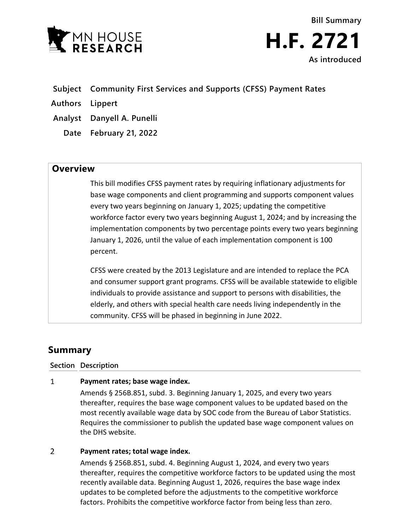

**Bill Summary H.F. 2721 As introduced**

- **Subject Community First Services and Supports (CFSS) Payment Rates**
- **Authors Lippert**
- **Analyst Danyell A. Punelli**
	- **Date February 21, 2022**

## **Overview**

This bill modifies CFSS payment rates by requiring inflationary adjustments for base wage components and client programming and supports component values every two years beginning on January 1, 2025; updating the competitive workforce factor every two years beginning August 1, 2024; and by increasing the implementation components by two percentage points every two years beginning January 1, 2026, until the value of each implementation component is 100 percent.

CFSS were created by the 2013 Legislature and are intended to replace the PCA and consumer support grant programs. CFSS will be available statewide to eligible individuals to provide assistance and support to persons with disabilities, the elderly, and others with special health care needs living independently in the community. CFSS will be phased in beginning in June 2022.

# **Summary**

### **Section Description**

#### $\mathbf{1}$ **Payment rates; base wage index.**

Amends § 256B.851, subd. 3. Beginning January 1, 2025, and every two years thereafter, requires the base wage component values to be updated based on the most recently available wage data by SOC code from the Bureau of Labor Statistics. Requires the commissioner to publish the updated base wage component values on the DHS website.

#### $\overline{2}$ **Payment rates; total wage index.**

Amends § 256B.851, subd. 4. Beginning August 1, 2024, and every two years thereafter, requires the competitive workforce factors to be updated using the most recently available data. Beginning August 1, 2026, requires the base wage index updates to be completed before the adjustments to the competitive workforce factors. Prohibits the competitive workforce factor from being less than zero.